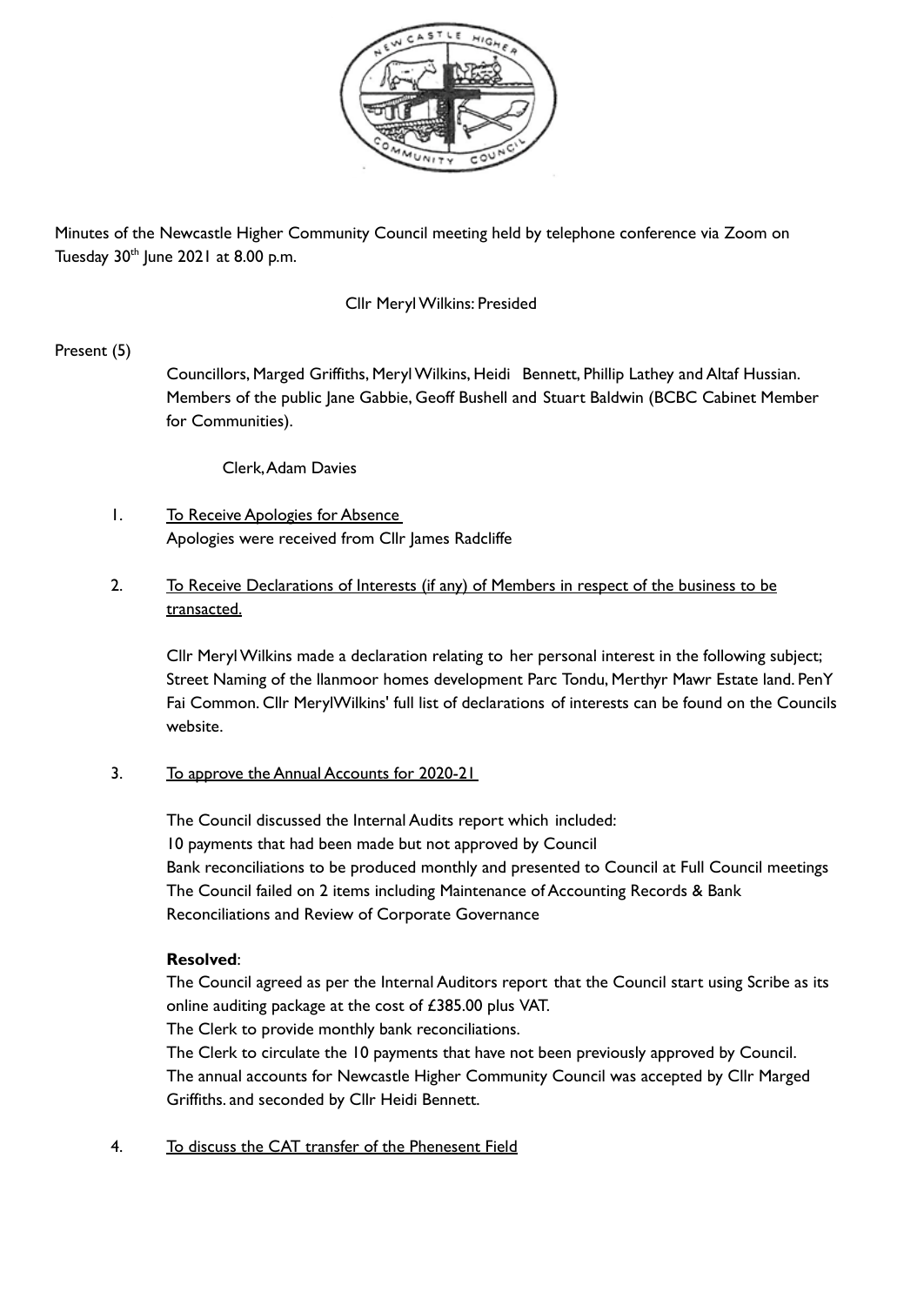

Minutes of the Newcastle Higher Community Council meeting held by telephone conference via Zoom on Tuesday 30<sup>th</sup> June 2021 at 8.00 p.m.

#### Cllr MerylWilkins: Presided

### Present (5)

Councillors, Marged Griffiths, MerylWilkins, Heidi Bennett, Phillip Lathey and Altaf Hussian. Members of the public Jane Gabbie, Geoff Bushell and Stuart Baldwin (BCBC Cabinet Member for Communities).

Clerk,Adam Davies

- 1. To Receive Apologies for Absence Apologies were received from Cllr James Radcliffe
- 2. To Receive Declarations of Interests (if any) of Members in respect of the business to be transacted.

Cllr MerylWilkins made a declaration relating to her personal interest in the following subject; Street Naming of the llanmoor homes development Parc Tondu, Merthyr Mawr Estate land. PenY Fai Common. Cllr MerylWilkins' full list of declarations of interests can be found on the Councils website.

# 3. To approve the Annual Accounts for 2020-21

The Council discussed the Internal Audits report which included: 10 payments that had been made but not approved by Council Bank reconciliations to be produced monthly and presented to Council at Full Council meetings The Council failed on 2 items including Maintenance of Accounting Records & Bank Reconciliations and Review of Corporate Governance

### **Resolved**:

The Council agreed as per the Internal Auditors report that the Council start using Scribe as its online auditing package at the cost of £385.00 plus VAT.

The Clerk to provide monthly bank reconciliations.

The Clerk to circulate the 10 payments that have not been previously approved by Council. The annual accounts for Newcastle Higher Community Council was accepted by Cllr Marged Griffiths. and seconded by Cllr Heidi Bennett.

4. To discuss the CAT transfer of the Phenesent Field